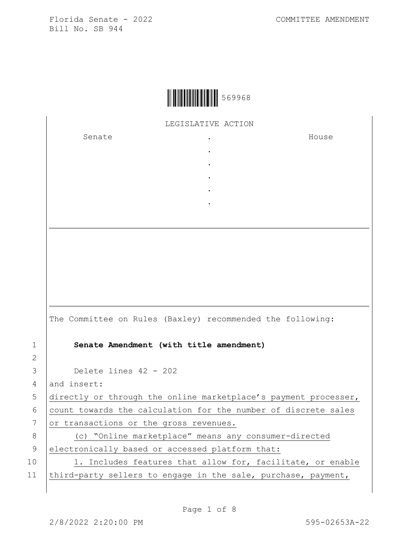

LEGISLATIVE ACTION

. . . . .

Senate .

House

|               | The Committee on Rules (Baxley) recommended the following:      |
|---------------|-----------------------------------------------------------------|
| 1             | Senate Amendment (with title amendment)                         |
| $\mathcal{L}$ |                                                                 |
| 3             | Delete lines 42 - 202                                           |
| 4             | and insert:                                                     |
| 5             | directly or through the online marketplace's payment processer, |
| 6             | count towards the calculation for the number of discrete sales  |
| 7             | or transactions or the gross revenues.                          |
| 8             | (c) "Online marketplace" means any consumer-directed            |
| 9             | electronically based or accessed platform that:                 |
| 10            | 1. Includes features that allow for, facilitate, or enable      |
| 11            | third-party sellers to engage in the sale, purchase, payment,   |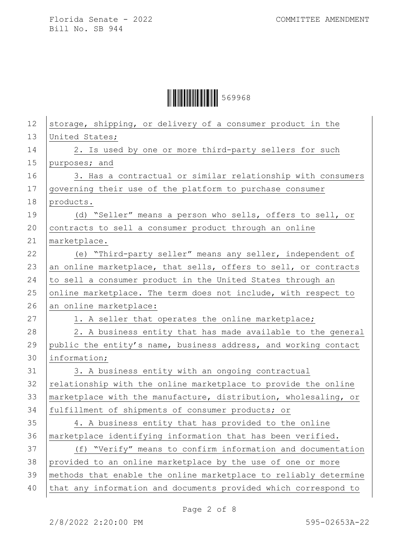| 12 | storage, shipping, or delivery of a consumer product in the      |
|----|------------------------------------------------------------------|
| 13 | United States;                                                   |
| 14 | 2. Is used by one or more third-party sellers for such           |
| 15 | purposes; and                                                    |
| 16 | 3. Has a contractual or similar relationship with consumers      |
| 17 | governing their use of the platform to purchase consumer         |
| 18 | products.                                                        |
| 19 | (d) "Seller" means a person who sells, offers to sell, or        |
| 20 | contracts to sell a consumer product through an online           |
| 21 | marketplace.                                                     |
| 22 | (e) "Third-party seller" means any seller, independent of        |
| 23 | an online marketplace, that sells, offers to sell, or contracts  |
| 24 | to sell a consumer product in the United States through an       |
| 25 | online marketplace. The term does not include, with respect to   |
| 26 | an online marketplace:                                           |
| 27 | 1. A seller that operates the online marketplace;                |
| 28 | 2. A business entity that has made available to the general      |
| 29 | public the entity's name, business address, and working contact  |
| 30 | information;                                                     |
| 31 | 3. A business entity with an ongoing contractual                 |
| 32 | relationship with the online marketplace to provide the online   |
| 33 | marketplace with the manufacture, distribution, wholesaling, or  |
| 34 | fulfillment of shipments of consumer products; or                |
| 35 | 4. A business entity that has provided to the online             |
| 36 | marketplace identifying information that has been verified.      |
| 37 | (f) "Verify" means to confirm information and documentation      |
| 38 | provided to an online marketplace by the use of one or more      |
| 39 | methods that enable the online marketplace to reliably determine |
| 40 | that any information and documents provided which correspond to  |
|    |                                                                  |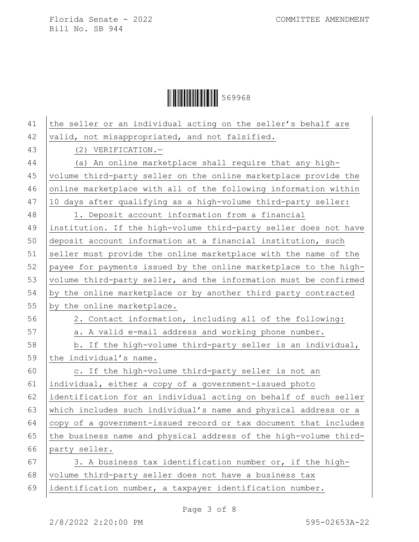| 41 | the seller or an individual acting on the seller's behalf are    |
|----|------------------------------------------------------------------|
| 42 | valid, not misappropriated, and not falsified.                   |
| 43 | (2) VERIFICATION.-                                               |
| 44 | (a) An online marketplace shall require that any high-           |
| 45 | volume third-party seller on the online marketplace provide the  |
| 46 | online marketplace with all of the following information within  |
| 47 | 10 days after qualifying as a high-volume third-party seller:    |
| 48 | 1. Deposit account information from a financial                  |
| 49 | institution. If the high-volume third-party seller does not have |
| 50 | deposit account information at a financial institution, such     |
| 51 | seller must provide the online marketplace with the name of the  |
| 52 | payee for payments issued by the online marketplace to the high- |
| 53 | volume third-party seller, and the information must be confirmed |
| 54 | by the online marketplace or by another third party contracted   |
| 55 | by the online marketplace.                                       |
| 56 | 2. Contact information, including all of the following:          |
| 57 | a. A valid e-mail address and working phone number.              |
| 58 | b. If the high-volume third-party seller is an individual,       |
| 59 | the individual's name.                                           |
| 60 | c. If the high-volume third-party seller is not an               |
| 61 | individual, either a copy of a government-issued photo           |
| 62 | identification for an individual acting on behalf of such seller |
| 63 | which includes such individual's name and physical address or a  |
| 64 | copy of a government-issued record or tax document that includes |
| 65 | the business name and physical address of the high-volume third- |
| 66 | party seller.                                                    |
| 67 | 3. A business tax identification number or, if the high-         |
| 68 | volume third-party seller does not have a business tax           |
| 69 | identification number, a taxpayer identification number.         |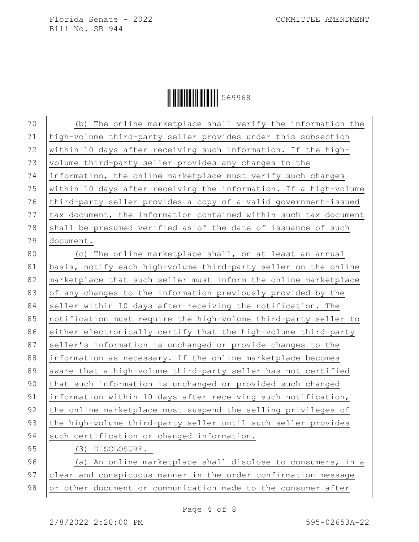**ÖHELLE 199968** 

70 (b) The online marketplace shall verify the information the 71 high-volume third-party seller provides under this subsection 72 within 10 days after receiving such information. If the high-73 volume third-party seller provides any changes to the 74 information, the online marketplace must verify such changes 75  $\mid$  within 10 days after receiving the information. If a high-volume 76 third-party seller provides a copy of a valid government-issued 77 tax document, the information contained within such tax document 78 shall be presumed verified as of the date of issuance of such 79 document. 80 (c) The online marketplace shall, on at least an annual 81 basis, notify each high-volume third-party seller on the online

82 marketplace that such seller must inform the online marketplace 83 of any changes to the information previously provided by the 84 seller within 10 days after receiving the notification. The 85 notification must require the high-volume third-party seller to 86 either electronically certify that the high-volume third-party 87 seller's information is unchanged or provide changes to the 88 information as necessary. If the online marketplace becomes 89 aware that a high-volume third-party seller has not certified 90 that such information is unchanged or provided such changed 91 information within 10 days after receiving such notification, 92 the online marketplace must suspend the selling privileges of 93 the high-volume third-party seller until such seller provides 94 such certification or changed information.

95 (3) DISCLOSURE.-

96 (a) An online marketplace shall disclose to consumers, in a 97 clear and conspicuous manner in the order confirmation message 98 or other document or communication made to the consumer after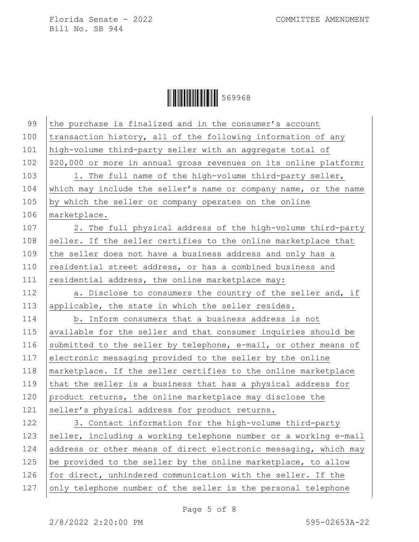| 99  | the purchase is finalized and in the consumer's account           |
|-----|-------------------------------------------------------------------|
| 100 | transaction history, all of the following information of any      |
| 101 | high-volume third-party seller with an aggregate total of         |
| 102 | \$20,000 or more in annual gross revenues on its online platform: |
| 103 | 1. The full name of the high-volume third-party seller,           |
| 104 | which may include the seller's name or company name, or the name  |
| 105 | by which the seller or company operates on the online             |
| 106 | marketplace.                                                      |
| 107 | 2. The full physical address of the high-volume third-party       |
| 108 | seller. If the seller certifies to the online marketplace that    |
| 109 | the seller does not have a business address and only has a        |
| 110 | residential street address, or has a combined business and        |
| 111 | residential address, the online marketplace may:                  |
| 112 | a. Disclose to consumers the country of the seller and, if        |
| 113 | applicable, the state in which the seller resides.                |
| 114 | b. Inform consumers that a business address is not                |
| 115 | available for the seller and that consumer inquiries should be    |
| 116 | submitted to the seller by telephone, e-mail, or other means of   |
| 117 | electronic messaging provided to the seller by the online         |
| 118 | marketplace. If the seller certifies to the online marketplace    |
| 119 | that the seller is a business that has a physical address for     |
| 120 | product returns, the online marketplace may disclose the          |
| 121 | seller's physical address for product returns.                    |
| 122 | 3. Contact information for the high-volume third-party            |
| 123 | seller, including a working telephone number or a working e-mail  |
| 124 | address or other means of direct electronic messaging, which may  |
| 125 | be provided to the seller by the online marketplace, to allow     |
| 126 | for direct, unhindered communication with the seller. If the      |
| 127 | only telephone number of the seller is the personal telephone     |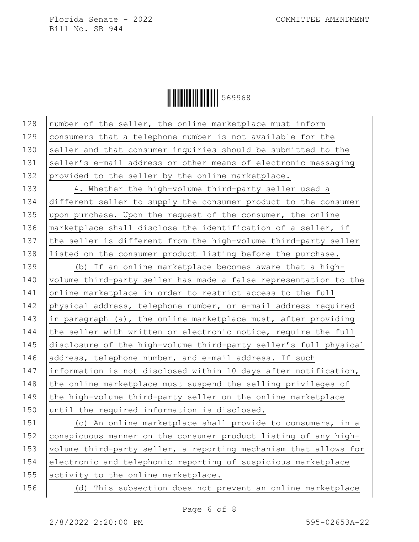**ÖEFFELLE 199968** 

128 number of the seller, the online marketplace must inform 129 consumers that a telephone number is not available for the 130 seller and that consumer inquiries should be submitted to the 131 seller's e-mail address or other means of electronic messaging 132 provided to the seller by the online marketplace. 133 4. Whether the high-volume third-party seller used a 134 different seller to supply the consumer product to the consumer 135 upon purchase. Upon the request of the consumer, the online 136 | marketplace shall disclose the identification of a seller, if 137 the seller is different from the high-volume third-party seller 138 listed on the consumer product listing before the purchase. 139 (b) If an online marketplace becomes aware that a high-140 volume third-party seller has made a false representation to the 141 online marketplace in order to restrict access to the full 142 physical address, telephone number, or e-mail address required 143 in paragraph (a), the online marketplace must, after providing 144  $\vert$  the seller with written or electronic notice, require the full 145 disclosure of the high-volume third-party seller's full physical 146 address, telephone number, and e-mail address. If such 147 information is not disclosed within 10 days after notification, 148  $\vert$  the online marketplace must suspend the selling privileges of 149  $\vert$  the high-volume third-party seller on the online marketplace 150 until the required information is disclosed. 151 (c) An online marketplace shall provide to consumers, in a 152 conspicuous manner on the consumer product listing of any high-153 | volume third-party seller, a reporting mechanism that allows for

154 electronic and telephonic reporting of suspicious marketplace 155 activity to the online marketplace.

156 (d) This subsection does not prevent an online marketplace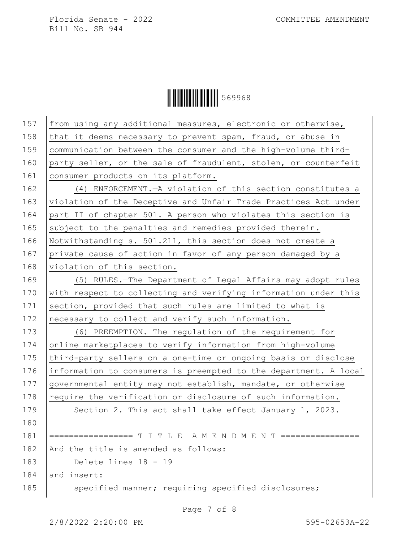| 157        | from using any additional measures, electronic or otherwise,     |
|------------|------------------------------------------------------------------|
| 158        | that it deems necessary to prevent spam, fraud, or abuse in      |
| 159        | communication between the consumer and the high-volume third-    |
| 160        | party seller, or the sale of fraudulent, stolen, or counterfeit  |
| 161        | consumer products on its platform.                               |
| 162        | (4) ENFORCEMENT. - A violation of this section constitutes a     |
| 163        | violation of the Deceptive and Unfair Trade Practices Act under  |
| 164        | part II of chapter 501. A person who violates this section is    |
| 165        | subject to the penalties and remedies provided therein.          |
| 166        | Notwithstanding s. 501.211, this section does not create a       |
| 167        | private cause of action in favor of any person damaged by a      |
| 168        | violation of this section.                                       |
| 169        | (5) RULES.-The Department of Legal Affairs may adopt rules       |
| 170        | with respect to collecting and verifying information under this  |
| 171        | section, provided that such rules are limited to what is         |
|            |                                                                  |
| 172        | necessary to collect and verify such information.                |
| 173        | (6) PREEMPTION. The regulation of the requirement for            |
| 174        | online marketplaces to verify information from high-volume       |
| 175        | third-party sellers on a one-time or ongoing basis or disclose   |
| 176        | information to consumers is preempted to the department. A local |
| 177        | governmental entity may not establish, mandate, or otherwise     |
| 178        | require the verification or disclosure of such information.      |
|            | Section 2. This act shall take effect January 1, 2023.           |
| 180        |                                                                  |
| 181        |                                                                  |
| 179<br>182 | And the title is amended as follows:                             |
| 183        | Delete lines 18 - 19                                             |
| 184        | and insert:                                                      |